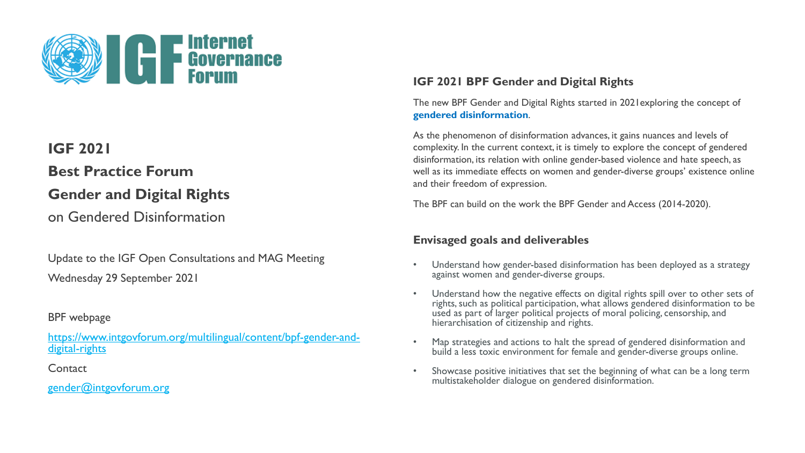

## **Best Practice Forum**

# **Gender and Digital Rights**

on Gendered Disinformation

Update to the IGF Open Consultations and MAG Meeting Wednesday 29 September 2021

### BPF webpage

[https://www.intgovforum.org/multilingual/content/bpf-gender-and](https://www.intgovforum.org/multilingual/content/bpf-gender-and-digital-rights)digital-rights

**Contact** 

[gender@intgovforum.org](mailto:gender@intgovforum.org)

### **IGF 2021 BPF Gender and Digital Rights**

The new BPF Gender and Digital Rights started in 2021exploring the concept of **gendered disinformation**.

As the phenomenon of disinformation advances, it gains nuances and levels of complexity. In the current context, it is timely to explore the concept of gendered disinformation, its relation with online gender-based violence and hate speech, as well as its immediate effects on women and gender-diverse groups' existence online and their freedom of expression.

The BPF can build on the work the BPF Gender and Access (2014-2020).

### **Envisaged goals and deliverables**

- Understand how gender-based disinformation has been deployed as a strategy against women and gender-diverse groups.
- Understand how the negative effects on digital rights spill over to other sets of rights, such as political participation, what allows gendered disinformation to be used as part of larger political projects of moral policing, censorship, and hierarchisation of citizenship and rights.
- Map strategies and actions to halt the spread of gendered disinformation and build a less toxic environment for female and gender-diverse groups online.
- Showcase positive initiatives that set the beginning of what can be a long term multistakeholder dialogue on gendered disinformation.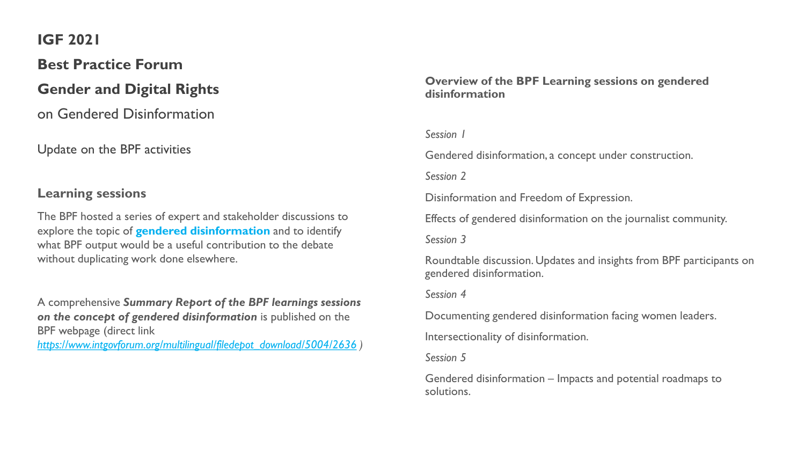# **Best Practice Forum**

## **Gender and Digital Rights**

on Gendered Disinformation

Update on the BPF activities

### **Learning sessions**

The BPF hosted a series of expert and stakeholder discussions to explore the topic of **gendered disinformation** and to identify what BPF output would be a useful contribution to the debate without duplicating work done elsewhere.

A comprehensive *Summary Report of the BPF learnings sessions on the concept of gendered disinformation* is published on the BPF webpage (direct link

*[https://www.intgovforum.org/multilingual/filedepot\\_download/5004/2636](https://www.intgovforum.org/multilingual/filedepot_download/5004/2636) )* 

#### **Overview of the BPF Learning sessions on gendered disinformation**

#### *Session 1*

Gendered disinformation, a concept under construction.

*Session 2*

Disinformation and Freedom of Expression.

Effects of gendered disinformation on the journalist community.

*Session 3*

Roundtable discussion. Updates and insights from BPF participants on gendered disinformation.

*Session 4*

Documenting gendered disinformation facing women leaders.

Intersectionality of disinformation.

*Session 5*

Gendered disinformation – Impacts and potential roadmaps to solutions.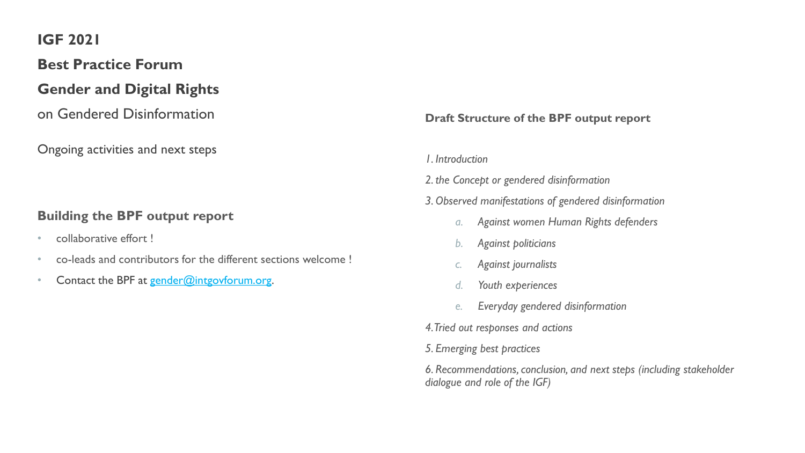# **Best Practice Forum**

# **Gender and Digital Rights**

on Gendered Disinformation

Ongoing activities and next steps

## **Building the BPF output report**

- collaborative effort!
- co-leads and contributors for the different sections welcome !
- Contact the BPF at [gender@intgovforum.org.](mailto:gender@intgovforum.org)

### **Draft Structure of the BPF output report**

*1. Introduction*

*2. the Concept or gendered disinformation*

- *3. Observed manifestations of gendered disinformation*
	- *a. Against women Human Rights defenders*
	- *b. Against politicians*
	- *c. Against journalists*
	- *d. Youth experiences*
	- *e. Everyday gendered disinformation*
- *4. Tried out responses and actions*
- *5. Emerging best practices*

*6. Recommendations, conclusion, and next steps (including stakeholder dialogue and role of the IGF)*